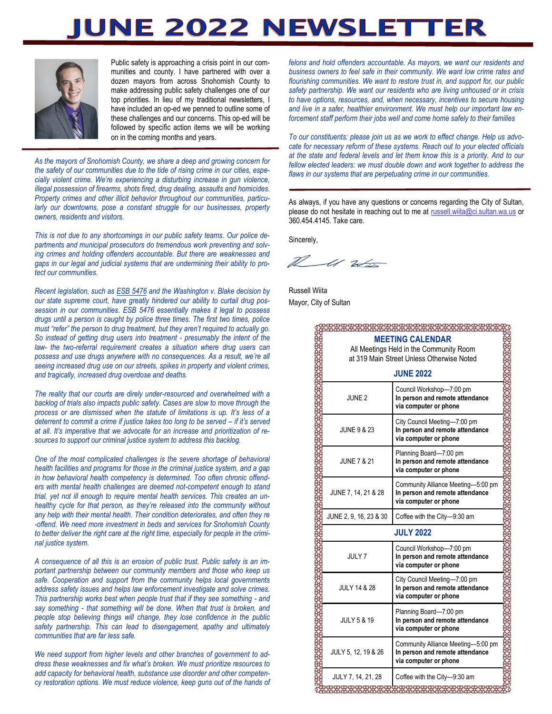# IUNE 2022 NEWSLETTI



Public safety is approaching a crisis point in our communities and county. I have partnered with over a dozen mayors from across Snohomish County to make addressing public safety challenges one of our top priorities. In lieu of my traditional newsletters, I have included an op-ed we penned to outline some of these challenges and our concerns. This op-ed will be followed by specific action items we will be working on in the coming months and years.

*As the mayors of Snohomish County, we share a deep and growing concern for the safety of our communities due to the tide of rising crime in our cities, especially violent crime. We're experiencing a disturbing increase in gun violence, illegal possession of firearms, shots fired, drug dealing, assaults and homicides. Property crimes and other illicit behavior throughout our communities, particu*larly our downtowns, pose a constant struggle for our businesses, property *owners, residents and visitors.*

*This is not due to any shortcomings in our public safety teams. Our police departments and municipal prosecutors do tremendous work preventing and solving crimes and holding offenders accountable. But there are weaknesses and gaps in our legal and judicial systems that are undermining their ability to protect our communities.*

*Recent legislation, such as [ESB 5476](https://lawfilesext.leg.wa.gov/biennium/2021-22/Pdf/Bill%20Reports/Senate/5476.E%20SBR%20FBR%2021.pdf?q=20210727114748) and the Washington v. Blake decision by our state supreme court, have greatly hindered our ability to curtail drug possession in our communities. ESB 5476 essentially makes it legal to possess drugs until a person is caught by police three times. The first two times, police must "refer" the person to drug treatment, but they aren't required to actually go. So instead of getting drug users into treatment - presumably the intent of the law- the two-referral requirement creates a situation where drug users can possess and use drugs anywhere with no consequences. As a result, we're all seeing increased drug use on our streets, spikes in property and violent crimes, and tragically, increased drug overdose and deaths.*

*The reality that our courts are direly under-resourced and overwhelmed with a*  backlog of trials also impacts public safety. Cases are slow to move through the *process or are dismissed when the statute of limitations is up. It's less of a deterrent to commit a crime if justice takes too long to be served – if it's served at all. It's imperative that we advocate for an increase and prioritization of resources to support our criminal justice system to address this backlog.*

*One of the most complicated challenges is the severe shortage of behavioral health facilities and programs for those in the criminal justice system, and a gap in how behavioral health competency is determined. Too often chronic offenders with mental health challenges are deemed not-competent enough to stand trial, yet not ill enough to require mental health services. This creates an unhealthy cycle for that person, as they're released into the community without any help with their mental health. Their condition deteriorates, and often they re* -offend. We need more investment in beds and services for Snohomish County *to better deliver the right care at the right time, especially for people in the criminal justice system.* 

*A consequence of all this is an erosion of public trust. Public safety is an important partnership between our community members and those who keep us safe. Cooperation and support from the community helps local governments address safety issues and helps law enforcement investigate and solve crimes. This partnership works best when people trust that if they see something - and say something - that something will be done. When that trust is broken, and people stop believing things will change, they lose confidence in the public safety partnership. This can lead to disengagement, apathy and ultimately communities that are far less safe.* 

*We need support from higher levels and other branches of government to address these weaknesses and fix what's broken. We must prioritize resources to add capacity for behavioral health, substance use disorder and other competency restoration options. We must reduce violence, keep guns out of the hands of*  *felons and hold offenders accountable. As mayors, we want our residents and business owners to feel safe in their community. We want low crime rates and flourishing communities. We want to restore trust in, and support for, our public safety partnership. We want our residents who are living unhoused or in crisis to have options, resources, and, when necessary, incentives to secure housing and live in a safer, healthier environment. We must help our important law enforcement staff perform their jobs well and come home safely to their families*

*To our constituents: please join us as we work to effect change. Help us advocate for necessary reform of these systems. Reach out to your elected officials at the state and federal levels and let them know this is a priority. And to our fellow elected leaders: we must double down and work together to address the flaws in our systems that are perpetuating crime in our communities.* 

As always, if you have any questions or concerns regarding the City of Sultan, please do not hesitate in reaching out to me at [russell.wiita@ci.sultan.wa.us](mailto:russell.wiita@ci.sultan.wa.us) or 360.454.4145. Take care.

Sincerely,

 $\mathcal{W}$  $-412$ 

Russell Wiita Mayor, City of Sultan

| <b>MEETING CALENDAR</b>                   |                                                                 |  |  |  |
|-------------------------------------------|-----------------------------------------------------------------|--|--|--|
| All Meetings Held in the Community Room   |                                                                 |  |  |  |
| at 319 Main Street Unless Otherwise Noted |                                                                 |  |  |  |
| <b>JUNE 2022</b>                          |                                                                 |  |  |  |
|                                           |                                                                 |  |  |  |
|                                           | Council Workshop-7:00 pm                                        |  |  |  |
| JUNE 2                                    | In person and remote attendance<br>via computer or phone        |  |  |  |
|                                           |                                                                 |  |  |  |
|                                           | City Council Meeting-7:00 pm                                    |  |  |  |
| <b>JUNE 9 &amp; 23</b>                    | In person and remote attendance<br>via computer or phone        |  |  |  |
|                                           |                                                                 |  |  |  |
|                                           | Planning Board-7:00 pm                                          |  |  |  |
| <b>JUNE 7 &amp; 21</b>                    | In person and remote attendance<br>via computer or phone        |  |  |  |
|                                           |                                                                 |  |  |  |
|                                           | Community Alliance Meeting-5:00 pm                              |  |  |  |
| JUNE 7, 14, 21 & 28                       | In person and remote attendance<br>via computer or phone        |  |  |  |
|                                           |                                                                 |  |  |  |
| JUNE 2, 9, 16, 23 & 30                    |                                                                 |  |  |  |
|                                           | Coffee with the City-9:30 am                                    |  |  |  |
|                                           | <b>JULY 2022</b>                                                |  |  |  |
|                                           |                                                                 |  |  |  |
| JULY 7                                    | Council Workshop-7:00 pm<br>In person and remote attendance     |  |  |  |
|                                           | via computer or phone                                           |  |  |  |
|                                           |                                                                 |  |  |  |
| <b>JULY 14 &amp; 28</b>                   | City Council Meeting-7:00 pm<br>In person and remote attendance |  |  |  |
|                                           | via computer or phone                                           |  |  |  |
|                                           |                                                                 |  |  |  |
| <b>JULY 5 &amp; 19</b>                    | Planning Board-7:00 pm                                          |  |  |  |
|                                           | In person and remote attendance<br>via computer or phone        |  |  |  |
|                                           |                                                                 |  |  |  |
|                                           | Community Alliance Meeting-5:00 pm                              |  |  |  |
| JULY 5, 12, 19 & 26                       | In person and remote attendance<br>via computer or phone        |  |  |  |
|                                           |                                                                 |  |  |  |
| <b>JULY 7, 14, 21, 28</b>                 | Coffee with the City-9:30 am                                    |  |  |  |